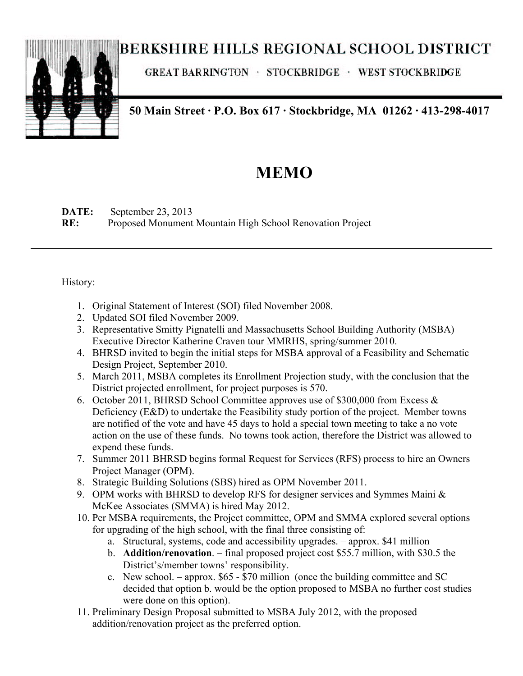## **BERKSHIRE HILLS REGIONAL SCHOOL DISTRICT**



**GREAT BARRINGTON · STOCKBRIDGE · WEST STOCKBRIDGE** 

**50 Main Street · P.O. Box 617 · Stockbridge, MA 01262 · 413-298-4017**

## **MEMO**

**DATE:** September 23, 2013 **RE:** Proposed Monument Mountain High School Renovation Project

History:

- 1. Original Statement of Interest (SOI) filed November 2008.
- 2. Updated SOI filed November 2009.
- 3. Representative Smitty Pignatelli and Massachusetts School Building Authority (MSBA) Executive Director Katherine Craven tour MMRHS, spring/summer 2010.
- 4. BHRSD invited to begin the initial steps for MSBA approval of a Feasibility and Schematic Design Project, September 2010.
- 5. March 2011, MSBA completes its Enrollment Projection study, with the conclusion that the District projected enrollment, for project purposes is 570.
- 6. October 2011, BHRSD School Committee approves use of \$300,000 from Excess & Deficiency (E&D) to undertake the Feasibility study portion of the project. Member towns are notified of the vote and have 45 days to hold a special town meeting to take a no vote action on the use of these funds. No towns took action, therefore the District was allowed to expend these funds.
- 7. Summer 2011 BHRSD begins formal Request for Services (RFS) process to hire an Owners Project Manager (OPM).
- 8. Strategic Building Solutions (SBS) hired as OPM November 2011.
- 9. OPM works with BHRSD to develop RFS for designer services and Symmes Maini & McKee Associates (SMMA) is hired May 2012.
- 10. Per MSBA requirements, the Project committee, OPM and SMMA explored several options for upgrading of the high school, with the final three consisting of:
	- a. Structural, systems, code and accessibility upgrades. approx. \$41 million
	- b. **Addition/renovation**. final proposed project cost \$55.7 million, with \$30.5 the District's/member towns' responsibility.
	- c. New school. approx. \$65 \$70 million (once the building committee and SC decided that option b. would be the option proposed to MSBA no further cost studies were done on this option).
- 11. Preliminary Design Proposal submitted to MSBA July 2012, with the proposed addition/renovation project as the preferred option.